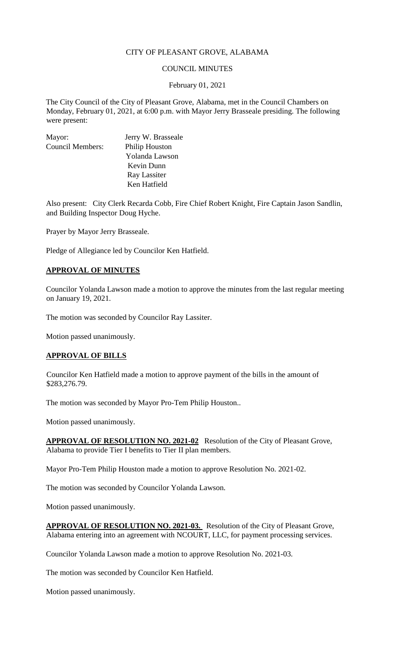### CITY OF PLEASANT GROVE, ALABAMA

### COUNCIL MINUTES

#### February 01, 2021

The City Council of the City of Pleasant Grove, Alabama, met in the Council Chambers on Monday, February 01, 2021, at 6:00 p.m. with Mayor Jerry Brasseale presiding. The following were present:

| Mayor:                  | Jerry W. Brasseale |
|-------------------------|--------------------|
| <b>Council Members:</b> | Philip Houston     |
|                         | Yolanda Lawson     |
|                         | Kevin Dunn         |
|                         | Ray Lassiter       |
|                         | Ken Hatfield       |

Also present: City Clerk Recarda Cobb, Fire Chief Robert Knight, Fire Captain Jason Sandlin, and Building Inspector Doug Hyche.

Prayer by Mayor Jerry Brasseale.

Pledge of Allegiance led by Councilor Ken Hatfield.

### **APPROVAL OF MINUTES**

Councilor Yolanda Lawson made a motion to approve the minutes from the last regular meeting on January 19, 2021.

The motion was seconded by Councilor Ray Lassiter.

Motion passed unanimously.

### **APPROVAL OF BILLS**

Councilor Ken Hatfield made a motion to approve payment of the bills in the amount of \$283,276.79.

The motion was seconded by Mayor Pro-Tem Philip Houston..

Motion passed unanimously.

**APPROVAL OF RESOLUTION NO. 2021-02** Resolution of the City of Pleasant Grove, Alabama to provide Tier I benefits to Tier II plan members.

Mayor Pro-Tem Philip Houston made a motion to approve Resolution No. 2021-02.

The motion was seconded by Councilor Yolanda Lawson.

Motion passed unanimously.

**APPROVAL OF RESOLUTION NO. 2021-03.** Resolution of the City of Pleasant Grove, Alabama entering into an agreement with NCOURT, LLC, for payment processing services.

Councilor Yolanda Lawson made a motion to approve Resolution No. 2021-03.

The motion was seconded by Councilor Ken Hatfield.

Motion passed unanimously.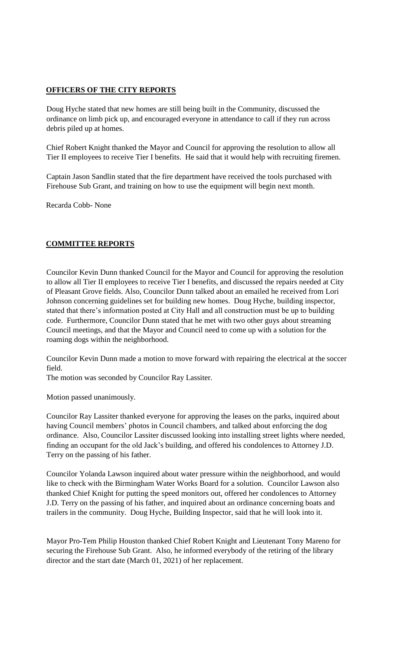## **OFFICERS OF THE CITY REPORTS**

Doug Hyche stated that new homes are still being built in the Community, discussed the ordinance on limb pick up, and encouraged everyone in attendance to call if they run across debris piled up at homes.

Chief Robert Knight thanked the Mayor and Council for approving the resolution to allow all Tier II employees to receive Tier I benefits. He said that it would help with recruiting firemen.

Captain Jason Sandlin stated that the fire department have received the tools purchased with Firehouse Sub Grant, and training on how to use the equipment will begin next month.

Recarda Cobb- None

# **COMMITTEE REPORTS**

Councilor Kevin Dunn thanked Council for the Mayor and Council for approving the resolution to allow all Tier II employees to receive Tier I benefits, and discussed the repairs needed at City of Pleasant Grove fields. Also, Councilor Dunn talked about an emailed he received from Lori Johnson concerning guidelines set for building new homes. Doug Hyche, building inspector, stated that there's information posted at City Hall and all construction must be up to building code. Furthermore, Councilor Dunn stated that he met with two other guys about streaming Council meetings, and that the Mayor and Council need to come up with a solution for the roaming dogs within the neighborhood.

Councilor Kevin Dunn made a motion to move forward with repairing the electrical at the soccer field.

The motion was seconded by Councilor Ray Lassiter.

Motion passed unanimously.

Councilor Ray Lassiter thanked everyone for approving the leases on the parks, inquired about having Council members' photos in Council chambers, and talked about enforcing the dog ordinance. Also, Councilor Lassiter discussed looking into installing street lights where needed, finding an occupant for the old Jack's building, and offered his condolences to Attorney J.D. Terry on the passing of his father.

Councilor Yolanda Lawson inquired about water pressure within the neighborhood, and would like to check with the Birmingham Water Works Board for a solution. Councilor Lawson also thanked Chief Knight for putting the speed monitors out, offered her condolences to Attorney J.D. Terry on the passing of his father, and inquired about an ordinance concerning boats and trailers in the community. Doug Hyche, Building Inspector, said that he will look into it.

Mayor Pro-Tem Philip Houston thanked Chief Robert Knight and Lieutenant Tony Mareno for securing the Firehouse Sub Grant. Also, he informed everybody of the retiring of the library director and the start date (March 01, 2021) of her replacement.